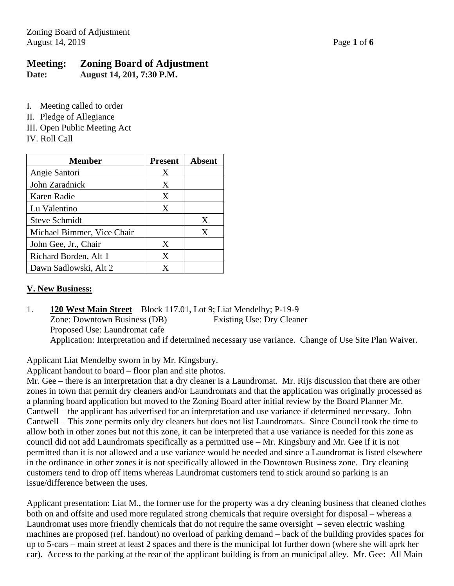# **Meeting: Zoning Board of Adjustment**

**Date: August 14, 201, 7:30 P.M.**

I. Meeting called to order

- II. Pledge of Allegiance
- III. Open Public Meeting Act

IV. Roll Call

| Member                     | <b>Present</b> | Absent |
|----------------------------|----------------|--------|
| Angie Santori              | X              |        |
| John Zaradnick             | X              |        |
| Karen Radie                | X              |        |
| Lu Valentino               | X              |        |
| <b>Steve Schmidt</b>       |                | X      |
| Michael Bimmer, Vice Chair |                | X      |
| John Gee, Jr., Chair       | X              |        |
| Richard Borden, Alt 1      | X              |        |
| Dawn Sadlowski, Alt 2      | X              |        |

## **V. New Business:**

1. **120 West Main Street** – Block 117.01, Lot 9; Liat Mendelby; P-19-9 Zone: Downtown Business (DB) Existing Use: Dry Cleaner Proposed Use: Laundromat cafe Application: Interpretation and if determined necessary use variance. Change of Use Site Plan Waiver.

Applicant Liat Mendelby sworn in by Mr. Kingsbury.

Applicant handout to board – floor plan and site photos.

Mr. Gee – there is an interpretation that a dry cleaner is a Laundromat. Mr. Rijs discussion that there are other zones in town that permit dry cleaners and/or Laundromats and that the application was originally processed as a planning board application but moved to the Zoning Board after initial review by the Board Planner Mr. Cantwell – the applicant has advertised for an interpretation and use variance if determined necessary. John Cantwell – This zone permits only dry cleaners but does not list Laundromats. Since Council took the time to allow both in other zones but not this zone, it can be interpreted that a use variance is needed for this zone as council did not add Laundromats specifically as a permitted use – Mr. Kingsbury and Mr. Gee if it is not permitted than it is not allowed and a use variance would be needed and since a Laundromat is listed elsewhere in the ordinance in other zones it is not specifically allowed in the Downtown Business zone. Dry cleaning customers tend to drop off items whereas Laundromat customers tend to stick around so parking is an issue/difference between the uses.

Applicant presentation: Liat M., the former use for the property was a dry cleaning business that cleaned clothes both on and offsite and used more regulated strong chemicals that require oversight for disposal – whereas a Laundromat uses more friendly chemicals that do not require the same oversight – seven electric washing machines are proposed (ref. handout) no overload of parking demand – back of the building provides spaces for up to 5-cars – main street at least 2 spaces and there is the municipal lot further down (where she will aprk her car). Access to the parking at the rear of the applicant building is from an municipal alley. Mr. Gee: All Main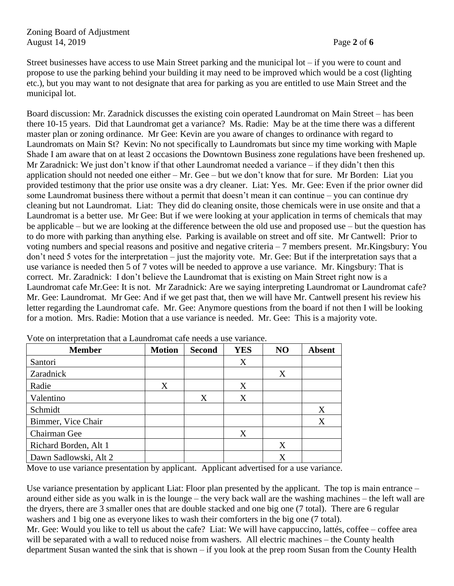Street businesses have access to use Main Street parking and the municipal lot – if you were to count and propose to use the parking behind your building it may need to be improved which would be a cost (lighting etc.), but you may want to not designate that area for parking as you are entitled to use Main Street and the municipal lot.

Board discussion: Mr. Zaradnick discusses the existing coin operated Laundromat on Main Street – has been there 10-15 years. Did that Laundromat get a variance? Ms. Radie: May be at the time there was a different master plan or zoning ordinance. Mr Gee: Kevin are you aware of changes to ordinance with regard to Laundromats on Main St? Kevin: No not specifically to Laundromats but since my time working with Maple Shade I am aware that on at least 2 occasions the Downtown Business zone regulations have been freshened up. Mr Zaradnick: We just don't know if that other Laundromat needed a variance – if they didn't then this application should not needed one either – Mr. Gee – but we don't know that for sure. Mr Borden: Liat you provided testimony that the prior use onsite was a dry cleaner. Liat: Yes. Mr. Gee: Even if the prior owner did some Laundromat business there without a permit that doesn't mean it can continue – you can continue dry cleaning but not Laundromat. Liat: They did do cleaning onsite, those chemicals were in use onsite and that a Laundromat is a better use. Mr Gee: But if we were looking at your application in terms of chemicals that may be applicable – but we are looking at the difference between the old use and proposed use – but the question has to do more with parking than anything else. Parking is available on street and off site. Mr Cantwell: Prior to voting numbers and special reasons and positive and negative criteria – 7 members present. Mr.Kingsbury: You don't need 5 votes for the interpretation – just the majority vote. Mr. Gee: But if the interpretation says that a use variance is needed then 5 of 7 votes will be needed to approve a use variance. Mr. Kingsbury: That is correct. Mr. Zaradnick: I don't believe the Laundromat that is existing on Main Street right now is a Laundromat cafe Mr.Gee: It is not. Mr Zaradnick: Are we saying interpreting Laundromat or Laundromat cafe? Mr. Gee: Laundromat. Mr Gee: And if we get past that, then we will have Mr. Cantwell present his review his letter regarding the Laundromat cafe. Mr. Gee: Anymore questions from the board if not then I will be looking for a motion. Mrs. Radie: Motion that a use variance is needed. Mr. Gee: This is a majority vote.

| <b>Member</b>         | <b>Motion</b> | <b>Second</b> | <b>YES</b> | NO | <b>Absent</b> |
|-----------------------|---------------|---------------|------------|----|---------------|
| Santori               |               |               | X          |    |               |
| Zaradnick             |               |               |            | X  |               |
| Radie                 | X             |               | X          |    |               |
| Valentino             |               | X             | X          |    |               |
| Schmidt               |               |               |            |    | X             |
| Bimmer, Vice Chair    |               |               |            |    | X             |
| Chairman Gee          |               |               | X          |    |               |
| Richard Borden, Alt 1 |               |               |            | X  |               |
| Dawn Sadlowski, Alt 2 |               |               |            | Χ  |               |

Vote on interpretation that a Laundromat cafe needs a use variance.

Move to use variance presentation by applicant. Applicant advertised for a use variance.

Use variance presentation by applicant Liat: Floor plan presented by the applicant. The top is main entrance – around either side as you walk in is the lounge – the very back wall are the washing machines – the left wall are the dryers, there are 3 smaller ones that are double stacked and one big one (7 total). There are 6 regular washers and 1 big one as everyone likes to wash their comforters in the big one (7 total).

Mr. Gee: Would you like to tell us about the cafe? Liat: We will have cappuccino, lattés, coffee – coffee area will be separated with a wall to reduced noise from washers. All electric machines – the County health department Susan wanted the sink that is shown – if you look at the prep room Susan from the County Health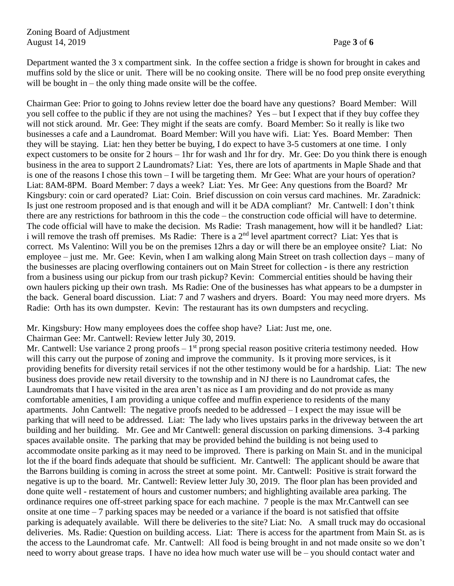Department wanted the 3 x compartment sink. In the coffee section a fridge is shown for brought in cakes and muffins sold by the slice or unit. There will be no cooking onsite. There will be no food prep onsite everything will be bought in – the only thing made onsite will be the coffee.

Chairman Gee: Prior to going to Johns review letter doe the board have any questions? Board Member: Will you sell coffee to the public if they are not using the machines? Yes – but I expect that if they buy coffee they will not stick around. Mr. Gee: They might if the seats are comfy. Board Member: So it really is like two businesses a cafe and a Laundromat. Board Member: Will you have wifi. Liat: Yes. Board Member: Then they will be staying. Liat: hen they better be buying, I do expect to have 3-5 customers at one time. I only expect customers to be onsite for 2 hours – 1hr for wash and 1hr for dry. Mr. Gee: Do you think there is enough business in the area to support 2 Laundromats? Liat: Yes, there are lots of apartments in Maple Shade and that is one of the reasons I chose this town – I will be targeting them. Mr Gee: What are your hours of operation? Liat: 8AM-8PM. Board Member: 7 days a week? Liat: Yes. Mr Gee: Any questions from the Board? Mr Kingsbury: coin or card operated? Liat: Coin. Brief discussion on coin versus card machines. Mr. Zaradnick: Is just one restroom proposed and is that enough and will it be ADA compliant? Mr. Cantwell: I don't think there are any restrictions for bathroom in this the code – the construction code official will have to determine. The code official will have to make the decision. Ms Radie: Trash management, how will it be handled? Liat: i will remove the trash off premises. Ms Radie: There is a 2<sup>nd</sup> level apartment correct? Liat: Yes that is correct. Ms Valentino: Will you be on the premises 12hrs a day or will there be an employee onsite? Liat: No employee – just me. Mr. Gee: Kevin, when I am walking along Main Street on trash collection days – many of the businesses are placing overflowing containers out on Main Street for collection - is there any restriction from a business using our pickup from our trash pickup? Kevin: Commercial entities should be having their own haulers picking up their own trash. Ms Radie: One of the businesses has what appears to be a dumpster in the back. General board discussion. Liat: 7 and 7 washers and dryers. Board: You may need more dryers. Ms Radie: Orth has its own dumpster. Kevin: The restaurant has its own dumpsters and recycling.

Mr. Kingsbury: How many employees does the coffee shop have? Liat: Just me, one.

Chairman Gee: Mr. Cantwell: Review letter July 30, 2019.

Mr. Cantwell: Use variance 2 prong proofs  $-1<sup>st</sup>$  prong special reason positive criteria testimony needed. How will this carry out the purpose of zoning and improve the community. Is it proving more services, is it providing benefits for diversity retail services if not the other testimony would be for a hardship. Liat: The new business does provide new retail diversity to the township and in NJ there is no Laundromat cafes, the Laundromats that I have visited in the area aren't as nice as I am providing and do not provide as many comfortable amenities, I am providing a unique coffee and muffin experience to residents of the many apartments. John Cantwell: The negative proofs needed to be addressed – I expect the may issue will be parking that will need to be addressed. Liat: The lady who lives upstairs parks in the driveway between the art building and her building. Mr. Gee and Mr Cantwell: general discussion on parking dimensions. 3-4 parking spaces available onsite. The parking that may be provided behind the building is not being used to accommodate onsite parking as it may need to be improved. There is parking on Main St. and in the municipal lot the if the board finds adequate that should be sufficient. Mr. Cantwell: The applicant should be aware that the Barrons building is coming in across the street at some point. Mr. Cantwell: Positive is strait forward the negative is up to the board. Mr. Cantwell: Review letter July 30, 2019. The floor plan has been provided and done quite well - restatement of hours and customer numbers; and highlighting available area parking. The ordinance requires one off-street parking space for each machine. 7 people is the max Mr.Cantwell can see onsite at one time – 7 parking spaces may be needed or a variance if the board is not satisfied that offsite parking is adequately available. Will there be deliveries to the site? Liat: No. A small truck may do occasional deliveries. Ms. Radie: Question on building access. Liat: There is access for the apartment from Main St. as is the access to the Laundromat cafe. Mr. Cantwell: All food is being brought in and not made onsite so we don't need to worry about grease traps. I have no idea how much water use will be – you should contact water and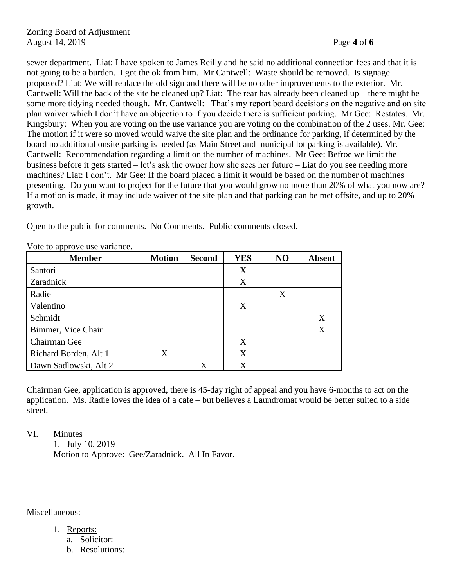sewer department. Liat: I have spoken to James Reilly and he said no additional connection fees and that it is not going to be a burden. I got the ok from him. Mr Cantwell: Waste should be removed. Is signage proposed? Liat: We will replace the old sign and there will be no other improvements to the exterior. Mr. Cantwell: Will the back of the site be cleaned up? Liat: The rear has already been cleaned up – there might be some more tidying needed though. Mr. Cantwell: That's my report board decisions on the negative and on site plan waiver which I don't have an objection to if you decide there is sufficient parking. Mr Gee: Restates. Mr. Kingsbury: When you are voting on the use variance you are voting on the combination of the 2 uses. Mr. Gee: The motion if it were so moved would waive the site plan and the ordinance for parking, if determined by the board no additional onsite parking is needed (as Main Street and municipal lot parking is available). Mr. Cantwell: Recommendation regarding a limit on the number of machines. Mr Gee: Befroe we limit the business before it gets started – let's ask the owner how she sees her future – Liat do you see needing more machines? Liat: I don't. Mr Gee: If the board placed a limit it would be based on the number of machines presenting. Do you want to project for the future that you would grow no more than 20% of what you now are? If a motion is made, it may include waiver of the site plan and that parking can be met offsite, and up to 20% growth.

Open to the public for comments. No Comments. Public comments closed.

|  | Vote to approve use variance. |
|--|-------------------------------|

| <b>Member</b>         | <b>Motion</b> | <b>Second</b> | <b>YES</b> | N <sub>O</sub> | <b>Absent</b> |
|-----------------------|---------------|---------------|------------|----------------|---------------|
| Santori               |               |               | X          |                |               |
| Zaradnick             |               |               | X          |                |               |
| Radie                 |               |               |            | X              |               |
| Valentino             |               |               | X          |                |               |
| Schmidt               |               |               |            |                | X             |
| Bimmer, Vice Chair    |               |               |            |                | X             |
| Chairman Gee          |               |               | X          |                |               |
| Richard Borden, Alt 1 | X             |               | X          |                |               |
| Dawn Sadlowski, Alt 2 |               | X             | X          |                |               |

Chairman Gee, application is approved, there is 45-day right of appeal and you have 6-months to act on the application. Ms. Radie loves the idea of a cafe – but believes a Laundromat would be better suited to a side street.

VI. Minutes

1. July 10, 2019 Motion to Approve: Gee/Zaradnick. All In Favor.

#### Miscellaneous:

- 1. Reports:
	- a. Solicitor:
	- b. Resolutions: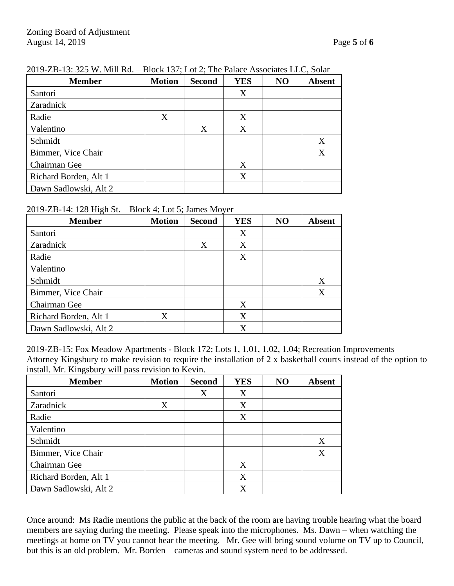| <b>Member</b>         | <b>Motion</b> | <b>Second</b> | <b>YES</b> | NO | <b>Absent</b> |
|-----------------------|---------------|---------------|------------|----|---------------|
| Santori               |               |               | X          |    |               |
| Zaradnick             |               |               |            |    |               |
| Radie                 | X             |               | X          |    |               |
| Valentino             |               | X             | X          |    |               |
| Schmidt               |               |               |            |    | X             |
| Bimmer, Vice Chair    |               |               |            |    | X             |
| Chairman Gee          |               |               | X          |    |               |
| Richard Borden, Alt 1 |               |               | X          |    |               |
| Dawn Sadlowski, Alt 2 |               |               |            |    |               |

### 2019-ZB-13: 325 W. Mill Rd. – Block 137; Lot 2; The Palace Associates LLC, Solar

#### 2019-ZB-14: 128 High St. – Block 4; Lot 5; James Moyer

| <b>Member</b>         | <b>Motion</b> | <b>Second</b> | <b>YES</b> | NO | <b>Absent</b> |
|-----------------------|---------------|---------------|------------|----|---------------|
| Santori               |               |               | X          |    |               |
| Zaradnick             |               | X             | X          |    |               |
| Radie                 |               |               | X          |    |               |
| Valentino             |               |               |            |    |               |
| Schmidt               |               |               |            |    | X             |
| Bimmer, Vice Chair    |               |               |            |    | X             |
| Chairman Gee          |               |               | Χ          |    |               |
| Richard Borden, Alt 1 | X             |               | X          |    |               |
| Dawn Sadlowski, Alt 2 |               |               | X          |    |               |

2019-ZB-15: Fox Meadow Apartments - Block 172; Lots 1, 1.01, 1.02, 1.04; Recreation Improvements Attorney Kingsbury to make revision to require the installation of 2 x basketball courts instead of the option to install. Mr. Kingsbury will pass revision to Kevin.

| <b>Member</b>         | <b>Motion</b> | <b>Second</b> | <b>YES</b> | NO | <b>Absent</b> |
|-----------------------|---------------|---------------|------------|----|---------------|
| Santori               |               | X             | X          |    |               |
| Zaradnick             | X             |               | X          |    |               |
| Radie                 |               |               | X          |    |               |
| Valentino             |               |               |            |    |               |
| Schmidt               |               |               |            |    | X             |
| Bimmer, Vice Chair    |               |               |            |    | X             |
| Chairman Gee          |               |               | X          |    |               |
| Richard Borden, Alt 1 |               |               | X          |    |               |
| Dawn Sadlowski, Alt 2 |               |               | X          |    |               |

Once around: Ms Radie mentions the public at the back of the room are having trouble hearing what the board members are saying during the meeting. Please speak into the microphones. Ms. Dawn – when watching the meetings at home on TV you cannot hear the meeting. Mr. Gee will bring sound volume on TV up to Council, but this is an old problem. Mr. Borden – cameras and sound system need to be addressed.